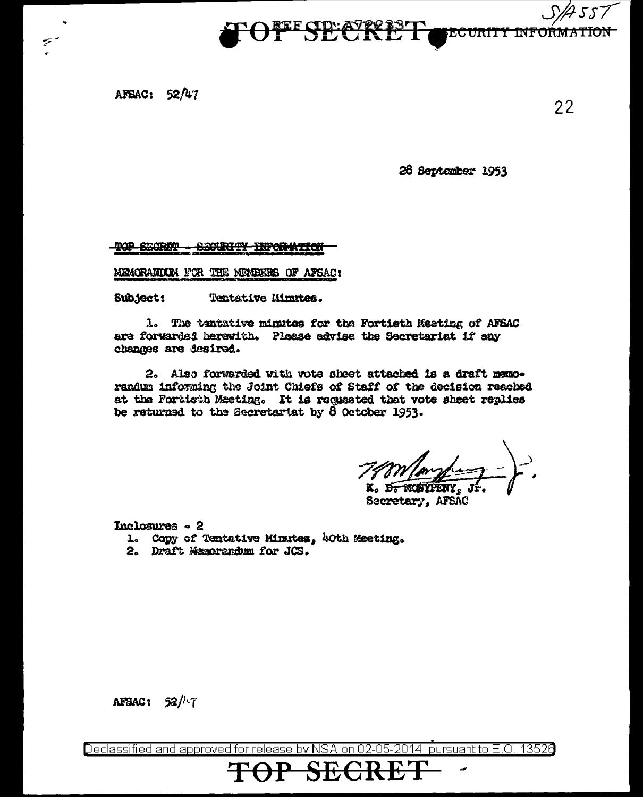$5.77$ **ECURITY INFORMATION** 

AFSAC:  $52/47$ 

 $\blacktriangledown$ 

26 September 1953

 $22$ 

**TOP SECRET** <del>-BEOURITY INFORMITOR</del>

MEMORARDUM FOR THE MEMBERS OF AFSAC:

Subject: Tentative Minutes.

1. The tentative minutes for the Fortieth Meeting of AFEAC are forwarded herewith. Please advise the Secretariat if any changes are desired.

2. Also forwarded with vote sheet attached is a draft memorandum informing the Joint Chiefs of Staff of the decision reached at the Fortieth Meeting. It is requested that vote sheet replies be returned to the Secretariat by  $\delta$  October 1953.

K. 15.

Secretary, AFSAC

Inclosures - 2

- 1. Copy of Tentative Minutes, 40th Meeting.
- 2. Draft Memorandum for JCS.

AFSAC:  $52/17$ 

Declassified and approved for release by NSA on 02-05-2014 pursuant to E.O. 13526

 $\Theta$ 

**SECRE**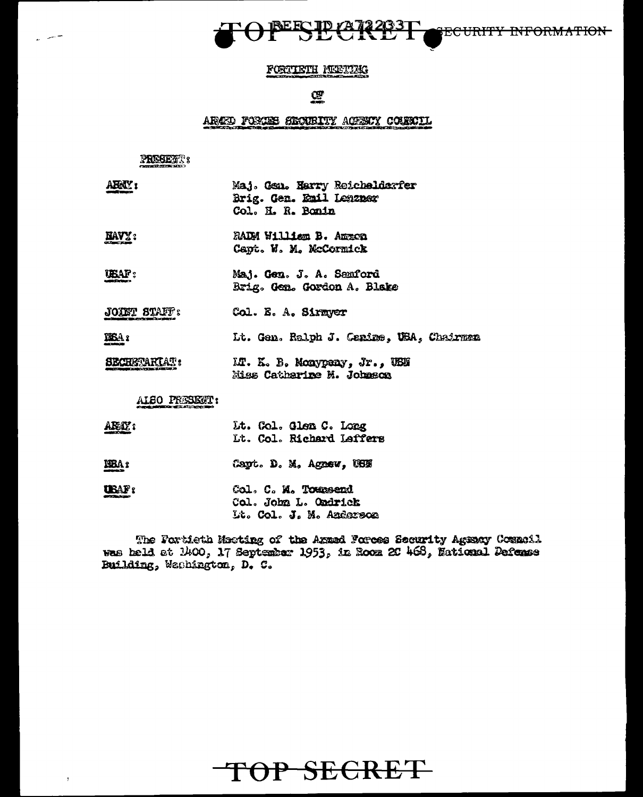

### FORTISTH MEETING

### $C_{\mathbb{Z}}$

#### ARAED FORCES SECURITY ACESUY COURCIL

### PRESERT:

للسيريد

| ABRIL'S             | Maj. Gen. Harry Reichelderfer<br>Brig. Gen. Emil Lenzner<br>Col. H. R. Bonin |  |  |  |
|---------------------|------------------------------------------------------------------------------|--|--|--|
| <b>HAVY:</b>        | RADM William B. Ammon<br>Capt. W. M. McCormick                               |  |  |  |
| ubaf :              | Maj. Gen. J. A. Samford<br>Brig. Gen. Gordon A. Blake                        |  |  |  |
| <b>PATUL AMARD.</b> | $\mathbf{a}$ , $\mathbf{b}$ and $\mathbf{a}$                                 |  |  |  |

**JODET BTAFF?** Col. E. A. Sixmyer

Lt. Gen. Ralph J. Canine, USA, Chairman **IBA**:

**SECRETARIAT:** LT. K. B. Monypeny, Jr., USN Miss Catherine M. Johnson

ALSO PRESENT:

| ARAY: |  | Lt. Col. Glen C. Long    |  |
|-------|--|--------------------------|--|
|       |  | Lt. Col. Richard Laffers |  |

MBA: Capt. D. M. Agnew, USN

UBAF: Col. C. M. Toursend Col. John L. Ondrick Lt. Col. J. M. Anderson

The Fortieth Meeting of the Armed Forces Security Agency Council was held at 1400, 17 September 1953, in Room 20 468, National Defense Building, Wachington, D. C.

TOP SECRET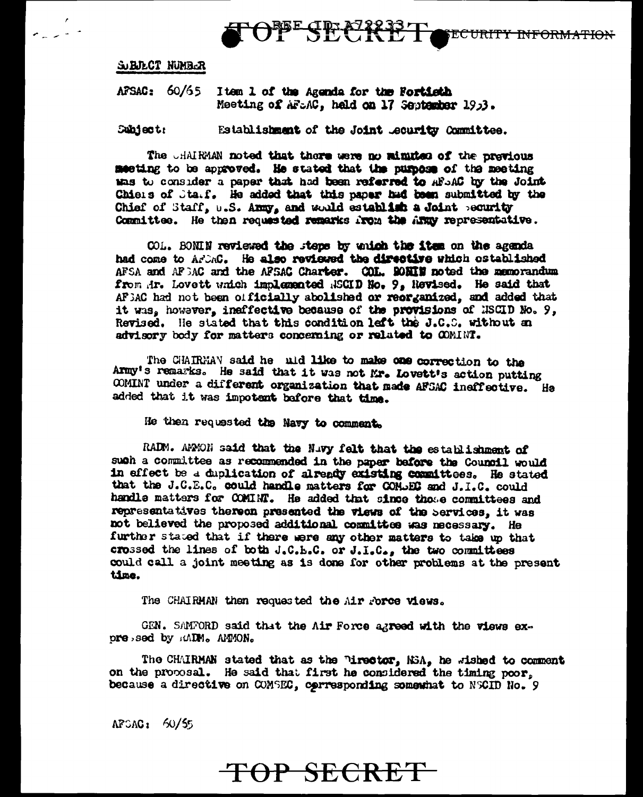ECURITY INFORMATION

SUBJECT NUMBER

 $\sigma_{\rm max}$ 

AFSAC: 60/65 Item 1 of the Agenda for the Fortisth Meeting of AFLAC, held on 17 September 19p3.

**Subject:** Establishment of the Joint Lecurity Committee.

The CHAIRMAN noted that there were no minutes of the previous meeting to be approved. He stated that the purpose of the meeting thas to consider a paper that had been referred to AFSAC by the Joint Chiers of Starf. He added that this paper had been submitted by the Chief of Staff, U.S. Anny, and would establish a Joint peourity Committee. He then requested remarks from the Army representative.

OPESECREET

COL. BONIN reviewed the steps by unich the item on the agenda had come to ArbAC. He also reviewed the directive which ostablished AFSA and AFSAC and the AFSAC Charter. COL. SONIN noted the memorandum from Ar. Lovett which implemented ASCID No. 9, Newised. He said that AFEAC had not been officially abolished or reorganized, and added that it was, however, ineffective because of the provisions of NSCID No. 9, Revised. He stated that this condition left the J.C.C. without an advisory body for matters concerning or related to COMINT.

The CHAIRMAN said he uid like to make one correction to the Army's remarks. He said that it was not Mr. Lovett's action putting COMINT under a different organization that made AFSAC ineffective. He added that it was impotent bafore that time.

He then requested the Navy to comment.

RADM. AMMON said that the Nuvy felt that the establishment of such a committee as recommended in the paper before the Council would in effect be a duplication of already existing committees. He stated that the J.C.E.C. could handle matters for COMDEC and J.I.C. could handle matters for COMINT. He added that since those committees and representatives thereon presented the views of the Services, it was not believed the proposed additional committee was necessary. He further stated that if there were any other matters to take up that crossed the lines of both J.C.L.C. or J.I.C., the two committees could call a joint meeting as is done for other problems at the present time.

The CHAIRMAN then requested the Air rores views.

GEN. SAMFORD said that the Air Force agreed with the views expressed by RADM. AMMON.

The CHAIRMAN stated that as the Pirector, NSA, he wished to comment on the proposal. He said that first he considered the timing poor. because a directive on COMSEC, corresponding somewhat to NSCID No. 9

 $AFGAG_1$  60/55

## TOP SECRET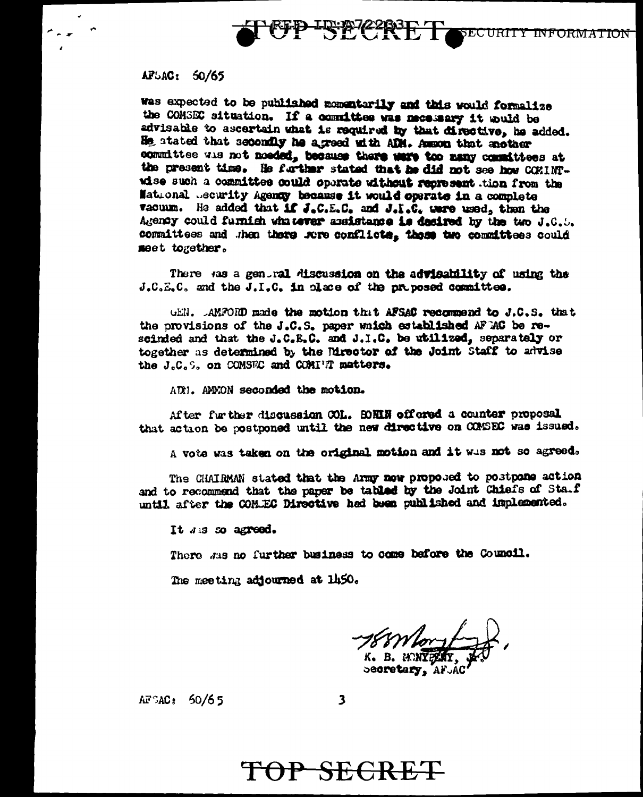

### AP5AC: 50/65

was expected to be published momentarily and this would formalize the COMSEC situation. If a committee was necessary it would be advisable to ascertain what is required by that directive, he added. He stated that secondly he agreed with ADM. Asson that enother committee wis not nocied, because there were too many committees at the present time. He further stated that he did not see how COMINTwise such a committee could operate without represent tion from the Mational Jecurity Agency because it would operate in a complete vacuum. He added that if J.C.E.C. and J.I.C. were used, then the Agency could furnish whatever assistance is desired by the two J.C.S. committees and then there fore conflicts. these two committees could meet together.

There was a general discussion on the advisability of using the J.C.E.C. and the J.I.C. in place of the proposed committee.

GEN. AMPORD made the motion that AFSAC recommend to J.C.S. that the provisions of the J.C.S. paper which established AF AC be rescinded and that the J.C.E.C. and J.I.C. be utilized, separately or together as determined by the Mrector of the Joint Staff to advise the J.C.S. on COMSEC and COMIET matters.

AUN. ANNON seconded the motion.

After further discussion COL. HOMIN offered a counter proposal that action be postponed until the new directive on COMSEC was issued.

A vote was taken on the original motion and it was not so agreed.

The CHAIRMAN stated that the Army now proposed to postpone action and to recommend that the paper be tabled by the Joint Chiefs of Sta.f until after the COM.EC Directive had been published and implemented.

It was so agreed.

There was no further business to come before the Council.

The meeting adjourned at 1450.

K. B. MONTELLY

becretary, AFJAC

 $AF$ SAC: 50/65

 $\overline{\mathbf{3}}$ 

# TOP SECRET